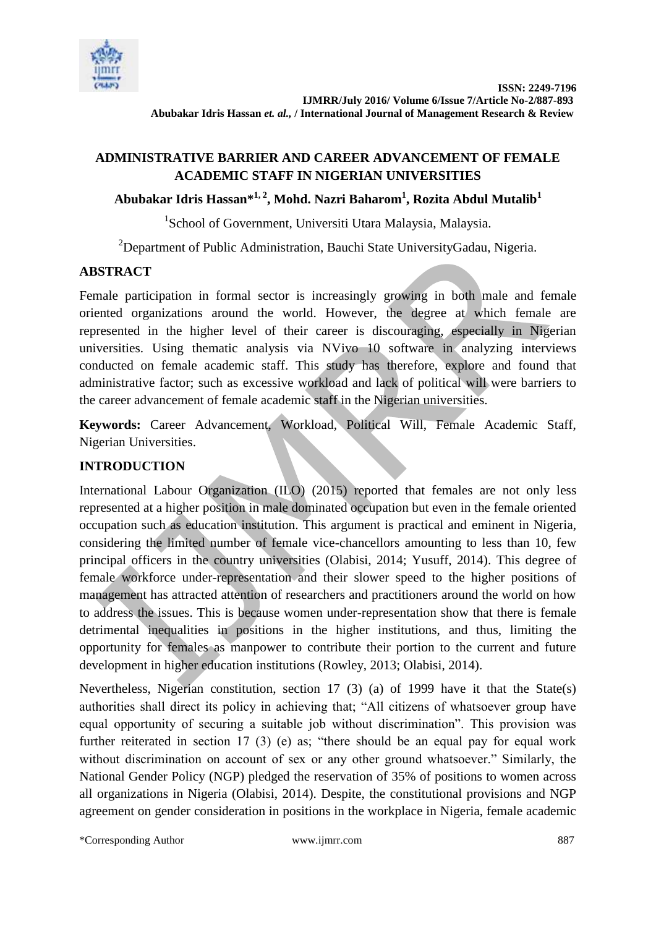

# **ADMINISTRATIVE BARRIER AND CAREER ADVANCEMENT OF FEMALE ACADEMIC STAFF IN NIGERIAN UNIVERSITIES**

# **Abubakar Idris Hassan\*1, 2, Mohd. Nazri Baharom<sup>1</sup> , Rozita Abdul Mutalib<sup>1</sup>**

<sup>1</sup>School of Government, Universiti Utara Malaysia, Malaysia.

<sup>2</sup>Department of Public Administration, Bauchi State UniversityGadau, Nigeria.

## **ABSTRACT**

Female participation in formal sector is increasingly growing in both male and female oriented organizations around the world. However, the degree at which female are represented in the higher level of their career is discouraging, especially in Nigerian universities. Using thematic analysis via NVivo 10 software in analyzing interviews conducted on female academic staff. This study has therefore, explore and found that administrative factor; such as excessive workload and lack of political will were barriers to the career advancement of female academic staff in the Nigerian universities.

**Keywords:** Career Advancement, Workload, Political Will, Female Academic Staff, Nigerian Universities.

# **INTRODUCTION**

International Labour Organization (ILO) (2015) reported that females are not only less represented at a higher position in male dominated occupation but even in the female oriented occupation such as education institution. This argument is practical and eminent in Nigeria, considering the limited number of female vice-chancellors amounting to less than 10, few principal officers in the country universities (Olabisi, 2014; Yusuff, 2014). This degree of female workforce under-representation and their slower speed to the higher positions of management has attracted attention of researchers and practitioners around the world on how to address the issues. This is because women under-representation show that there is female detrimental inequalities in positions in the higher institutions, and thus, limiting the opportunity for females as manpower to contribute their portion to the current and future development in higher education institutions (Rowley, 2013; Olabisi, 2014).

Nevertheless, Nigerian constitution, section 17 (3) (a) of 1999 have it that the State(s) authorities shall direct its policy in achieving that; "All citizens of whatsoever group have equal opportunity of securing a suitable job without discrimination". This provision was further reiterated in section 17 (3) (e) as; "there should be an equal pay for equal work without discrimination on account of sex or any other ground whatsoever." Similarly, the National Gender Policy (NGP) pledged the reservation of 35% of positions to women across all organizations in Nigeria (Olabisi, 2014). Despite, the constitutional provisions and NGP agreement on gender consideration in positions in the workplace in Nigeria, female academic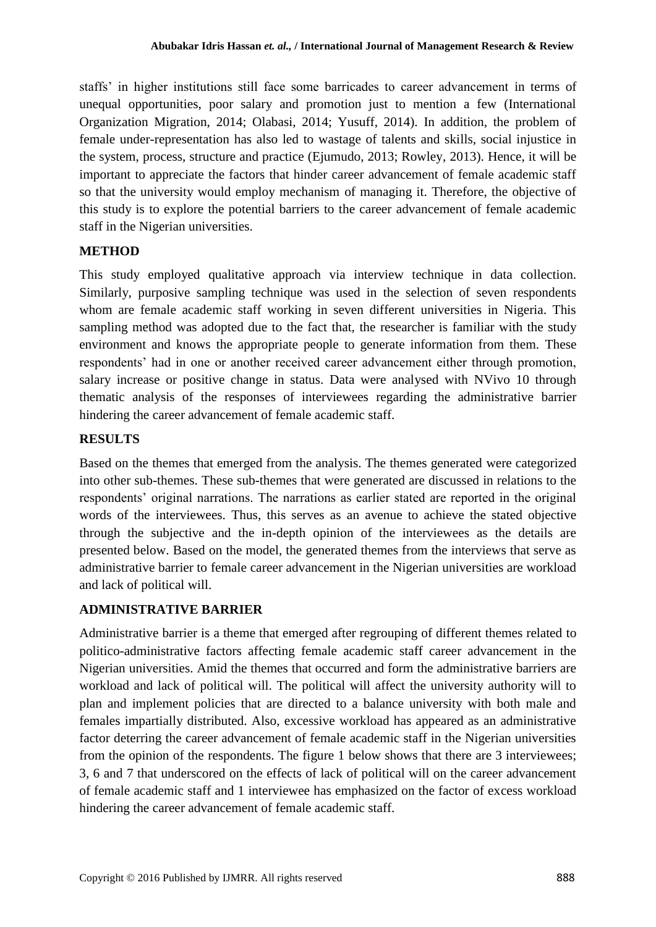staffs" in higher institutions still face some barricades to career advancement in terms of unequal opportunities, poor salary and promotion just to mention a few (International Organization Migration, 2014; Olabasi, 2014; Yusuff, 2014). In addition, the problem of female under-representation has also led to wastage of talents and skills, social injustice in the system, process, structure and practice (Ejumudo, 2013; Rowley, 2013). Hence, it will be important to appreciate the factors that hinder career advancement of female academic staff so that the university would employ mechanism of managing it. Therefore, the objective of this study is to explore the potential barriers to the career advancement of female academic staff in the Nigerian universities.

#### **METHOD**

This study employed qualitative approach via interview technique in data collection. Similarly, purposive sampling technique was used in the selection of seven respondents whom are female academic staff working in seven different universities in Nigeria. This sampling method was adopted due to the fact that, the researcher is familiar with the study environment and knows the appropriate people to generate information from them. These respondents' had in one or another received career advancement either through promotion, salary increase or positive change in status. Data were analysed with NVivo 10 through thematic analysis of the responses of interviewees regarding the administrative barrier hindering the career advancement of female academic staff.

#### **RESULTS**

Based on the themes that emerged from the analysis. The themes generated were categorized into other sub-themes. These sub-themes that were generated are discussed in relations to the respondents' original narrations. The narrations as earlier stated are reported in the original words of the interviewees. Thus, this serves as an avenue to achieve the stated objective through the subjective and the in-depth opinion of the interviewees as the details are presented below. Based on the model, the generated themes from the interviews that serve as administrative barrier to female career advancement in the Nigerian universities are workload and lack of political will.

### **ADMINISTRATIVE BARRIER**

Administrative barrier is a theme that emerged after regrouping of different themes related to politico-administrative factors affecting female academic staff career advancement in the Nigerian universities. Amid the themes that occurred and form the administrative barriers are workload and lack of political will. The political will affect the university authority will to plan and implement policies that are directed to a balance university with both male and females impartially distributed. Also, excessive workload has appeared as an administrative factor deterring the career advancement of female academic staff in the Nigerian universities from the opinion of the respondents. The figure 1 below shows that there are 3 interviewees; 3, 6 and 7 that underscored on the effects of lack of political will on the career advancement of female academic staff and 1 interviewee has emphasized on the factor of excess workload hindering the career advancement of female academic staff.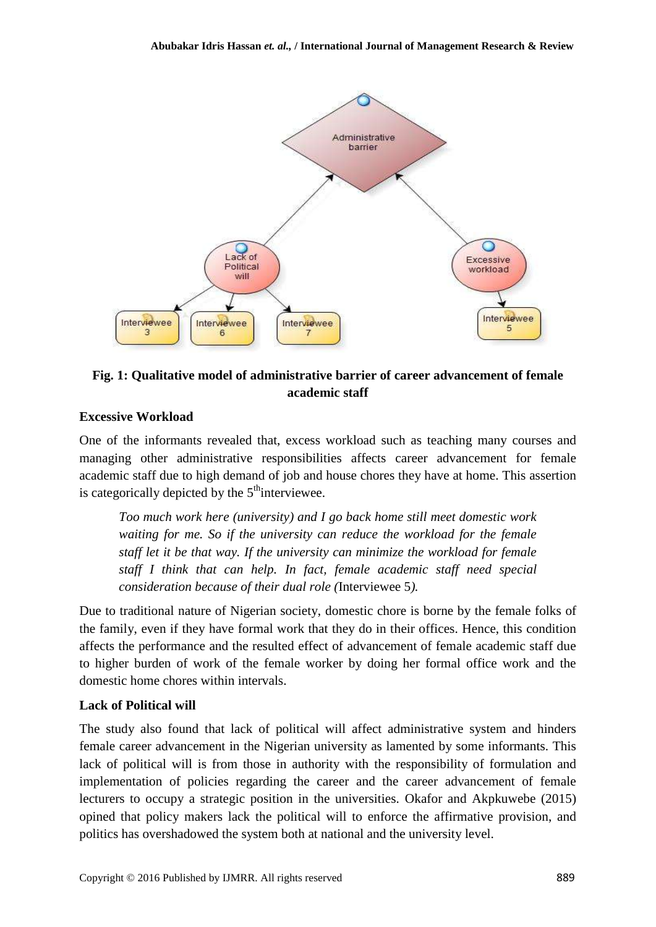

# **Fig. 1: Qualitative model of administrative barrier of career advancement of female academic staff**

### **Excessive Workload**

One of the informants revealed that, excess workload such as teaching many courses and managing other administrative responsibilities affects career advancement for female academic staff due to high demand of job and house chores they have at home. This assertion is categorically depicted by the  $5<sup>th</sup>$  interviewee.

*Too much work here (university) and I go back home still meet domestic work waiting for me. So if the university can reduce the workload for the female staff let it be that way. If the university can minimize the workload for female staff I think that can help. In fact, female academic staff need special consideration because of their dual role (*Interviewee 5*).*

Due to traditional nature of Nigerian society, domestic chore is borne by the female folks of the family, even if they have formal work that they do in their offices. Hence, this condition affects the performance and the resulted effect of advancement of female academic staff due to higher burden of work of the female worker by doing her formal office work and the domestic home chores within intervals.

### **Lack of Political will**

The study also found that lack of political will affect administrative system and hinders female career advancement in the Nigerian university as lamented by some informants. This lack of political will is from those in authority with the responsibility of formulation and implementation of policies regarding the career and the career advancement of female lecturers to occupy a strategic position in the universities. Okafor and Akpkuwebe (2015) opined that policy makers lack the political will to enforce the affirmative provision, and politics has overshadowed the system both at national and the university level.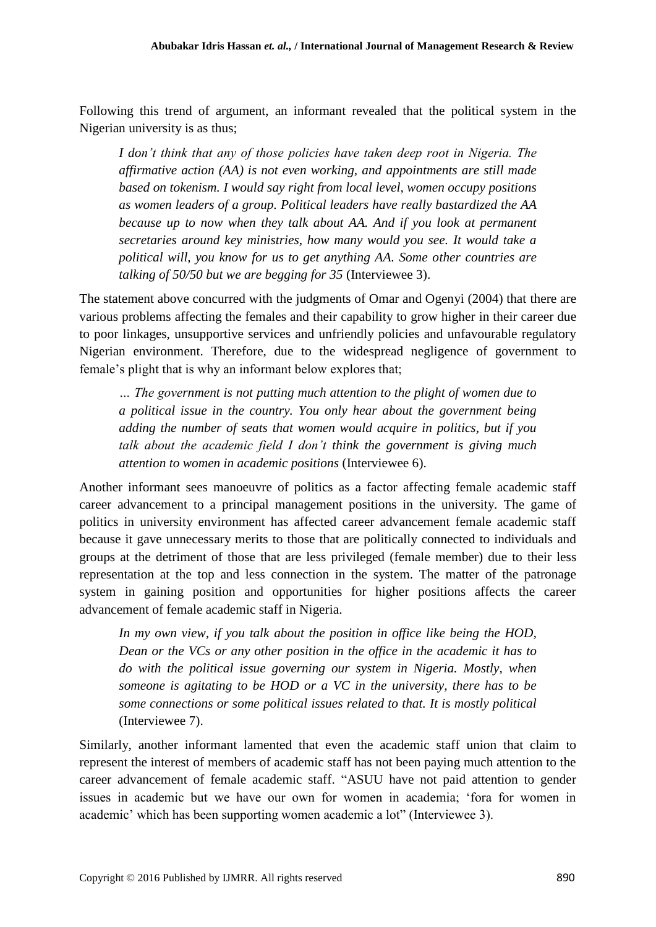Following this trend of argument, an informant revealed that the political system in the Nigerian university is as thus;

*I don't think that any of those policies have taken deep root in Nigeria. The affirmative action (AA) is not even working, and appointments are still made based on tokenism. I would say right from local level, women occupy positions as women leaders of a group. Political leaders have really bastardized the AA because up to now when they talk about AA. And if you look at permanent secretaries around key ministries, how many would you see. It would take a political will, you know for us to get anything AA. Some other countries are talking of 50/50 but we are begging for 35* (Interviewee 3).

The statement above concurred with the judgments of Omar and Ogenyi (2004) that there are various problems affecting the females and their capability to grow higher in their career due to poor linkages, unsupportive services and unfriendly policies and unfavourable regulatory Nigerian environment. Therefore, due to the widespread negligence of government to female's plight that is why an informant below explores that;

*… The government is not putting much attention to the plight of women due to a political issue in the country. You only hear about the government being adding the number of seats that women would acquire in politics, but if you talk about the academic field I don't think the government is giving much attention to women in academic positions* (Interviewee 6).

Another informant sees manoeuvre of politics as a factor affecting female academic staff career advancement to a principal management positions in the university. The game of politics in university environment has affected career advancement female academic staff because it gave unnecessary merits to those that are politically connected to individuals and groups at the detriment of those that are less privileged (female member) due to their less representation at the top and less connection in the system. The matter of the patronage system in gaining position and opportunities for higher positions affects the career advancement of female academic staff in Nigeria.

*In my own view, if you talk about the position in office like being the HOD, Dean or the VCs or any other position in the office in the academic it has to do with the political issue governing our system in Nigeria. Mostly, when someone is agitating to be HOD or a VC in the university, there has to be some connections or some political issues related to that. It is mostly political* (Interviewee 7).

Similarly, another informant lamented that even the academic staff union that claim to represent the interest of members of academic staff has not been paying much attention to the career advancement of female academic staff. "ASUU have not paid attention to gender issues in academic but we have our own for women in academia; "fora for women in academic" which has been supporting women academic a lot" (Interviewee 3).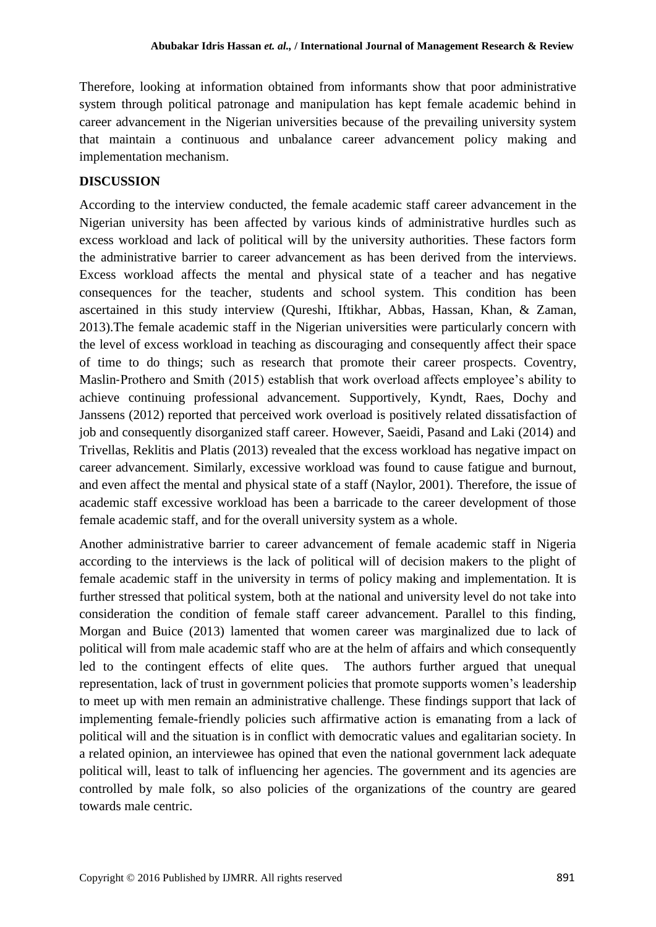Therefore, looking at information obtained from informants show that poor administrative system through political patronage and manipulation has kept female academic behind in career advancement in the Nigerian universities because of the prevailing university system that maintain a continuous and unbalance career advancement policy making and implementation mechanism.

### **DISCUSSION**

According to the interview conducted, the female academic staff career advancement in the Nigerian university has been affected by various kinds of administrative hurdles such as excess workload and lack of political will by the university authorities. These factors form the administrative barrier to career advancement as has been derived from the interviews. Excess workload affects the mental and physical state of a teacher and has negative consequences for the teacher, students and school system. This condition has been ascertained in this study interview (Qureshi, Iftikhar, Abbas, Hassan, Khan, & Zaman, 2013).The female academic staff in the Nigerian universities were particularly concern with the level of excess workload in teaching as discouraging and consequently affect their space of time to do things; such as research that promote their career prospects. Coventry, Maslin-Prothero and Smith (2015) establish that work overload affects employee's ability to achieve continuing professional advancement. Supportively, Kyndt, Raes, Dochy and Janssens (2012) reported that perceived work overload is positively related dissatisfaction of job and consequently disorganized staff career. However, Saeidi, Pasand and Laki (2014) and Trivellas, Reklitis and Platis (2013) revealed that the excess workload has negative impact on career advancement. Similarly, excessive workload was found to cause fatigue and burnout, and even affect the mental and physical state of a staff (Naylor, 2001). Therefore, the issue of academic staff excessive workload has been a barricade to the career development of those female academic staff, and for the overall university system as a whole.

Another administrative barrier to career advancement of female academic staff in Nigeria according to the interviews is the lack of political will of decision makers to the plight of female academic staff in the university in terms of policy making and implementation. It is further stressed that political system, both at the national and university level do not take into consideration the condition of female staff career advancement. Parallel to this finding, Morgan and Buice (2013) lamented that women career was marginalized due to lack of political will from male academic staff who are at the helm of affairs and which consequently led to the contingent effects of elite ques. The authors further argued that unequal representation, lack of trust in government policies that promote supports women"s leadership to meet up with men remain an administrative challenge. These findings support that lack of implementing female-friendly policies such affirmative action is emanating from a lack of political will and the situation is in conflict with democratic values and egalitarian society. In a related opinion, an interviewee has opined that even the national government lack adequate political will, least to talk of influencing her agencies. The government and its agencies are controlled by male folk, so also policies of the organizations of the country are geared towards male centric.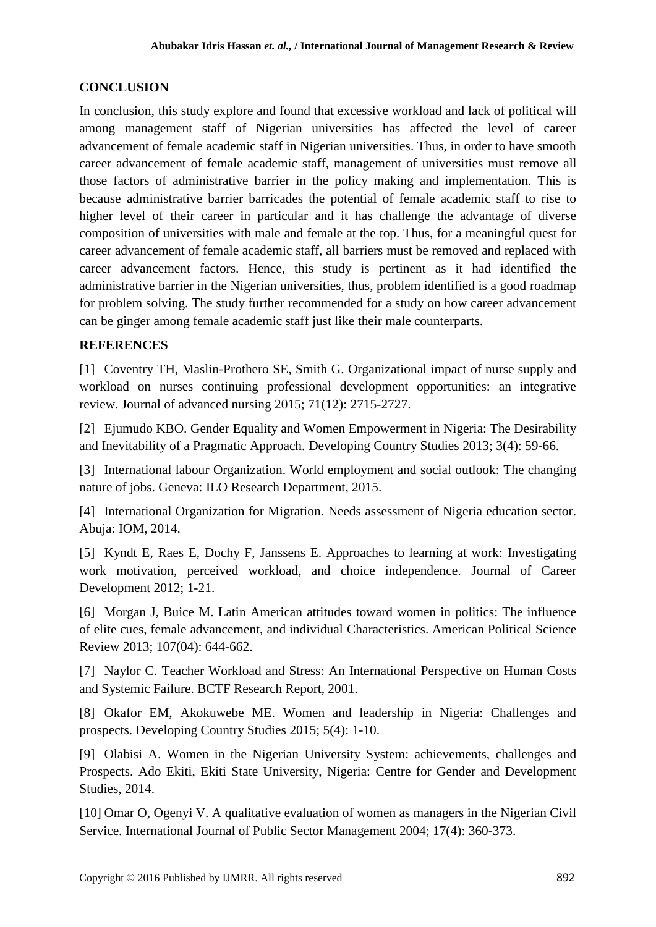### **CONCLUSION**

In conclusion, this study explore and found that excessive workload and lack of political will among management staff of Nigerian universities has affected the level of career advancement of female academic staff in Nigerian universities. Thus, in order to have smooth career advancement of female academic staff, management of universities must remove all those factors of administrative barrier in the policy making and implementation. This is because administrative barrier barricades the potential of female academic staff to rise to higher level of their career in particular and it has challenge the advantage of diverse composition of universities with male and female at the top. Thus, for a meaningful quest for career advancement of female academic staff, all barriers must be removed and replaced with career advancement factors. Hence, this study is pertinent as it had identified the administrative barrier in the Nigerian universities, thus, problem identified is a good roadmap for problem solving. The study further recommended for a study on how career advancement can be ginger among female academic staff just like their male counterparts.

### **REFERENCES**

[1] Coventry TH, Maslin-Prothero SE, Smith G. Organizational impact of nurse supply and workload on nurses continuing professional development opportunities: an integrative review. Journal of advanced nursing 2015; 71(12): 2715-2727.

[2] Ejumudo KBO. Gender Equality and Women Empowerment in Nigeria: The Desirability and Inevitability of a Pragmatic Approach. Developing Country Studies 2013; 3(4): 59-66.

[3] International labour Organization. World employment and social outlook: The changing nature of jobs. Geneva: ILO Research Department, 2015.

[4] International Organization for Migration. Needs assessment of Nigeria education sector. Abuja: IOM, 2014.

[5] Kyndt E, Raes E, Dochy F, Janssens E. Approaches to learning at work: Investigating work motivation, perceived workload, and choice independence. Journal of Career Development 2012; 1-21.

[6] Morgan J, Buice M. Latin American attitudes toward women in politics: The influence of elite cues, female advancement, and individual Characteristics. American Political Science Review 2013; 107(04): 644-662.

[7] Naylor C. Teacher Workload and Stress: An International Perspective on Human Costs and Systemic Failure. BCTF Research Report, 2001.

[8] Okafor EM, Akokuwebe ME. Women and leadership in Nigeria: Challenges and prospects. Developing Country Studies 2015; 5(4): 1-10.

[9] Olabisi A. Women in the Nigerian University System: achievements, challenges and Prospects. Ado Ekiti, Ekiti State University, Nigeria: Centre for Gender and Development Studies, 2014.

[10] Omar O, Ogenyi V. A qualitative evaluation of women as managers in the Nigerian Civil Service. International Journal of Public Sector Management 2004; 17(4): 360-373.